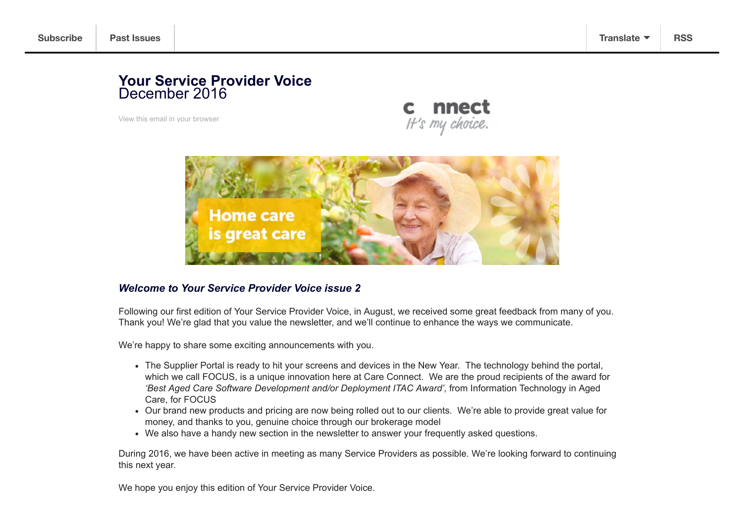#### **Your Service Provider Voice** December 2016

View this email in your browser





#### *Welcome to Your Service Provider Voice issue 2*

Following our first edition of Your Service Provider Voice, in August, we received some great feedback from many of you. Thank you! We're glad that you value the newsletter, and we'll continue to enhance the ways we communicate.

We're happy to share some exciting announcements with you.

- The Supplier Portal is ready to hit your screens and devices in the New Year. The technology behind the portal, which we call FOCUS, is a unique innovation here at Care Connect. We are the proud recipients of the award for 'Best Aged Care Software Development and/or Deployment ITAC Award', from Information Technology in Aged Care, for FOCUS
- Our brand new products and pricing are now being rolled out to our clients. We're able to provide great value for money, and thanks to you, genuine choice through our brokerage model
- We also have a handy new section in the newsletter to answer your frequently asked questions.

During 2016, we have been active in meeting as many Service Providers as possible. We're looking forward to continuing this next year.

We hope you enjoy this edition of Your Service Provider Voice.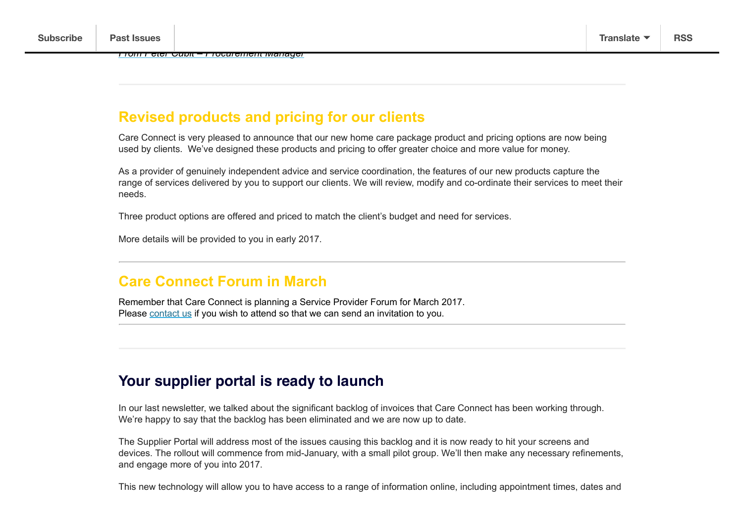## **Revised products and pricing for our clients**

Care Connect is very pleased to announce that our new home care package product and pricing options are now being used by clients. We've designed these products and pricing to offer greater choice and more value for money.

As a provider of genuinely independent advice and service coordination, the features of our new products capture the range of services delivered by you to support our clients. We will review, modify and co-ordinate their services to meet their needs.

Three product options are offered and priced to match the client's budget and need for services.

More details will be provided to you in early 2017.

## **Care Connect Forum in March**

Remember that Care Connect is planning a Service Provider Forum for March 2017. Please contact us if you wish to attend so that we can send an invitation to you.

### **Your supplier portal is ready to launch**

In our last newsletter, we talked about the significant backlog of invoices that Care Connect has been working through. We're happy to say that the backlog has been eliminated and we are now up to date.

The Supplier Portal will address most of the issues causing this backlog and it is now ready to hit your screens and devices. The rollout will commence from mid-January, with a small pilot group. We'll then make any necessary refinements, and engage more of you into 2017.

This new technology will allow you to have access to a range of information online, including appointment times, dates and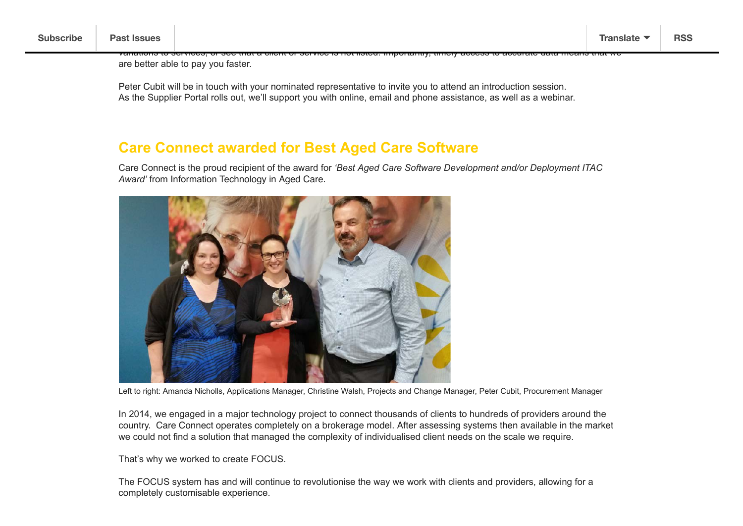variations to services, or see that a client or service is not listed. Importantly, timely access to accurate data means that we are better able to pay you faster.

Peter Cubit will be in touch with your nominated representative to invite you to attend an introduction session. As the Supplier Portal rolls out, we'll support you with online, email and phone assistance, as well as a webinar.

#### **Care Connect awarded for Best Aged Care Software**

Care Connect is the proud recipient of the award for *'Best Aged Care Software Development and/or Deployment ITAC Award'* from Information Technology in Aged Care.



Left to right: Amanda Nicholls, Applications Manager, Christine Walsh, Projects and Change Manager, Peter Cubit, Procurement Manager

In 2014, we engaged in a major technology project to connect thousands of clients to hundreds of providers around the country. Care Connect operates completely on a brokerage model. After assessing systems then available in the market we could not find a solution that managed the complexity of individualised client needs on the scale we require.

That's why we worked to create FOCUS.

The FOCUS system has and will continue to revolutionise the way we work with clients and providers, allowing for a completely customisable experience.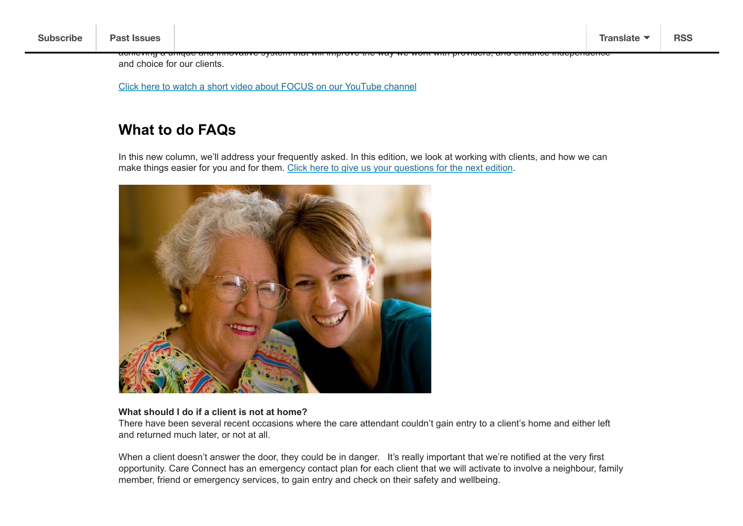and choice for our clients.

Click here to watch a short video about FOCUS on our YouTube channel

## **What to do FAQs**

In this new column, we'll address your frequently asked. In this edition, we look at working with clients, and how we can make things easier for you and for them. Click here to give us your questions for the next edition.

achieving a unique and innovative system that will improve the way we work with providers, and enhance independence



#### **What should I do if a client is not at home?**

There have been several recent occasions where the care attendant couldn't gain entry to a client's home and either left and returned much later, or not at all.

When a client doesn't answer the door, they could be in danger. It's really important that we're notified at the very first opportunity. Care Connect has an emergency contact plan for each client that we will activate to involve a neighbour, family member, friend or emergency services, to gain entry and check on their safety and wellbeing.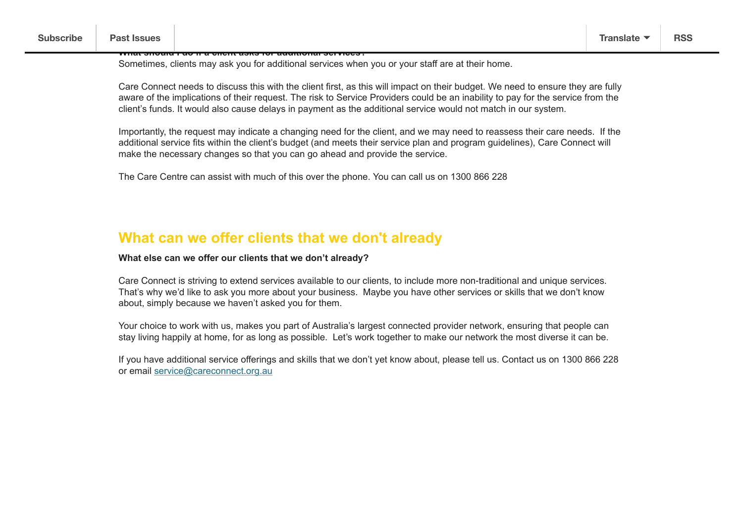**What should I do if a client asks for additional services?**

Sometimes, clients may ask you for additional services when you or your staff are at their home.

Care Connect needs to discuss this with the client first, as this will impact on their budget. We need to ensure they are fully aware of the implications of their request. The risk to Service Providers could be an inability to pay for the service from the client's funds. It would also cause delays in payment as the additional service would not match in our system.

Importantly, the request may indicate a changing need for the client, and we may need to reassess their care needs. If the additional service fits within the client's budget (and meets their service plan and program guidelines), Care Connect will make the necessary changes so that you can go ahead and provide the service.

The Care Centre can assist with much of this over the phone. You can call us on 1300 866 228

#### **What can we offer clients that we don't already**

#### **What else can we offer our clients that we don't already?**

Care Connect is striving to extend services available to our clients, to include more non-traditional and unique services. That's why we'd like to ask you more about your business. Maybe you have other services or skills that we don't know about, simply because we haven't asked you for them.

Your choice to work with us, makes you part of Australia's largest connected provider network, ensuring that people can stay living happily at home, for as long as possible. Let's work together to make our network the most diverse it can be.

If you have additional service offerings and skills that we don't yet know about, please tell us. Contact us on 1300 866 228 or email service@careconnect.org.au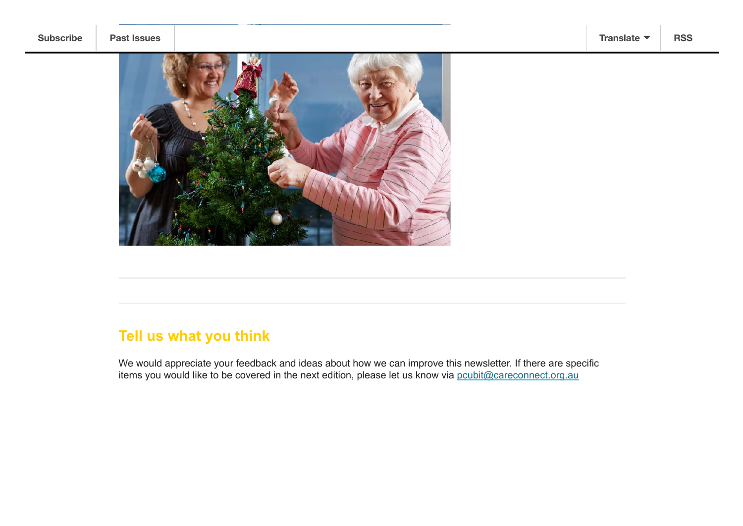



# **Tell us what you think**

We would appreciate your feedback and ideas about how we can improve this newsletter. If there are specific items you would like to be covered in the next edition, please let us know via pcubit@careconnect.org.au